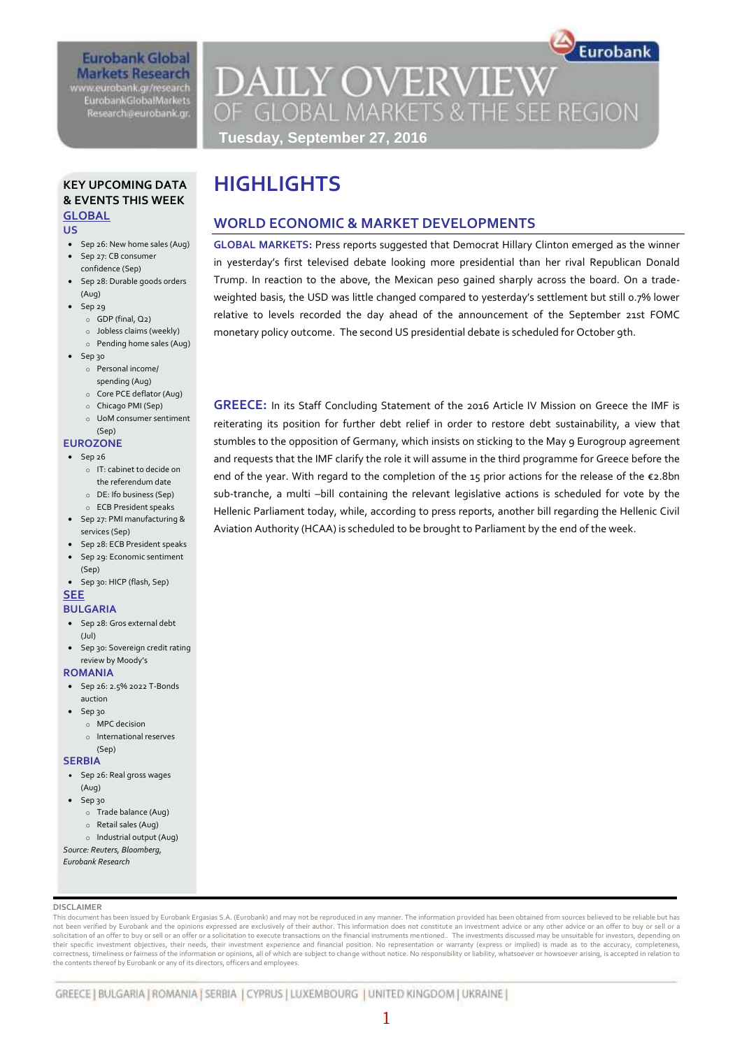### **Eurobank Global Markets Research** www.eurobank.gr/research

**EurobankGlobalMarkets** Research@eurobank.gr

# **DAILY OVERVIEW** OF GLOBAL MARKETS & THE SEE REGION **Tuesday, September 27, 2016**

### **KEY UPCOMING DATA & EVENTS THIS WEEK GLOBAL**

#### **US**

- Sep 26: New home sales (Aug)
- Sep 27: CB consumer confidence (Sep)
- Sep 28: Durable goods orders (Aug)
- $\bullet$  Sep 29
	- o GDP (final, Q2)
	- o Jobless claims (weekly)
	- o Pending home sales (Aug)
- Sep 30
	- o Personal income/ spending (Aug)
	- o Core PCE deflator (Aug)
	- o Chicago PMI (Sep)
	- o UoM consumer sentiment (Sep)

### **EUROZONE**

- $\bullet$  Sep 26
	- o IT: cabinet to decide on the referendum date
	- o DE: Ifo business (Sep)
	- o ECB President speaks
- Sep 27: PMI manufacturing &
- services (Sep)
- Sep 28: ECB President speaks Sep 29: Economic sentiment
- (Sep)
- Sep 30: HICP (flash, Sep) **SEE**

## **BULGARIA**

- Sep 28: Gros external debt
- (Jul)
- Sep 30: Sovereign credit rating review by Moody's

### **ROMANIA**

- Sep 26: 2.5% 2022 T-Bonds auction
- Sep 30
	- o MPC decision
	- o International reserves

#### (Sep) **SERBIA**

- Sep 26: Real gross wages (Aug)
- $-$  Sep 30
	- o Trade balance (Aug)
	- o Retail sales (Aug)
	- o Industrial output (Aug)
- *Source: Reuters, Bloomberg,*

*Eurobank Research*

### **DISCLAIMER**

This document has been issued by Eurobank Ergasias S.A. (Eurobank) and may not be reproduced in any manner. The information provided has been obtained from sources believed to be reliable but has not been verified by Eurobank and the opinions expressed are exclusively of their author. This information does not constitute an investment advice or any other advice or an offer to buy or sell or a solicitation of an offer to buy or sell or an offer or a solicitation to execute transactions on the financial instruments mentioned.. The investments discussed may be unsuitable for investors, depending on their specific investment objectives, their needs, their investment experience and financial position. No representation or warranty (express or implied) is made as to the accuracy, completeness, correctness, timeliness or fairness of the information or opinions, all of which are subject to change without notice. No responsibility or liability, whatsoever or howsoever arising, is accepted in relation to the contents thereof by Eurobank or any of its directors, officers and employees.

1

# **HIGHLIGHTS**

## **WORLD ECONOMIC & MARKET DEVELOPMENTS**

**GLOBAL MARKETS:** Press reports suggested that Democrat Hillary Clinton emerged as the winner in yesterday's first televised debate looking more presidential than her rival Republican Donald Trump. In reaction to the above, the Mexican peso gained sharply across the board. On a tradeweighted basis, the USD was little changed compared to yesterday's settlement but still 0.7% lower relative to levels recorded the day ahead of the announcement of the September 21st FOMC monetary policy outcome. The second US presidential debate is scheduled for October 9th.

**GREECE:** In its Staff Concluding Statement of the 2016 Article IV Mission on Greece the IMF is reiterating its position for further debt relief in order to restore debt sustainability, a view that stumbles to the opposition of Germany, which insists on sticking to the May 9 Eurogroup agreement and requests that the IMF clarify the role it will assume in the third programme for Greece before the end of the year. With regard to the completion of the 15 prior actions for the release of the €2.8bn sub-tranche, a multi –bill containing the relevant legislative actions is scheduled for vote by the Hellenic Parliament today, while, according to press reports, another bill regarding the Hellenic Civil Aviation Authority (HCAA) is scheduled to be brought to Parliament by the end of the week.

# Eurobank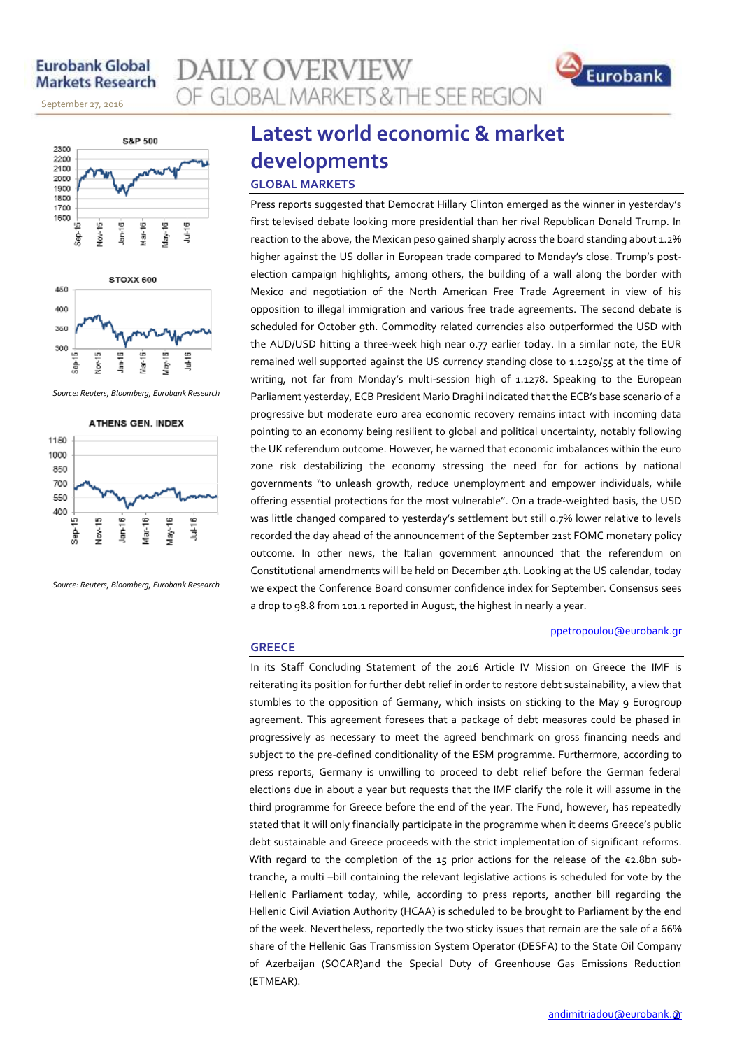## **Eurobank Global Markets Research**

November 14, 2013

September 27, 2016





*Source: Reuters, Bloomberg, Eurobank Research*

**ATHENS GEN. INDEX** 



*Source: Reuters, Bloomberg, Eurobank Research*

## **Latest world economic & market developments GLOBAL MARKETS**

**GLOBAL MARKETS & THE SEE REGION** 

**AILY OVERVIEW** 

Press reports suggested that Democrat Hillary Clinton emerged as the winner in yesterday's first televised debate looking more presidential than her rival Republican Donald Trump. In reaction to the above, the Mexican peso gained sharply across the board standing about 1.2% higher against the US dollar in European trade compared to Monday's close. Trump's postelection campaign highlights, among others, the building of a wall along the border with Mexico and negotiation of the North American Free Trade Agreement in view of his opposition to illegal immigration and various free trade agreements. The second debate is scheduled for October 9th. Commodity related currencies also outperformed the USD with the AUD/USD hitting a three-week high near 0.77 earlier today. In a similar note, the EUR remained well supported against the US currency standing close to 1.1250/55 at the time of writing, not far from Monday's multi-session high of 1.1278. Speaking to the European Parliament yesterday, ECB President Mario Draghi indicated that the ECB's base scenario of a progressive but moderate euro area economic recovery remains intact with incoming data pointing to an economy being resilient to global and political uncertainty, notably following the UK referendum outcome. However, he warned that economic imbalances within the euro zone risk destabilizing the economy stressing the need for for actions by national governments "to unleash growth, reduce unemployment and empower individuals, while offering essential protections for the most vulnerable". On a trade-weighted basis, the USD was little changed compared to yesterday's settlement but still 0.7% lower relative to levels recorded the day ahead of the announcement of the September 21st FOMC monetary policy outcome. In other news, the Italian government announced that the referendum on Constitutional amendments will be held on December 4th. Looking at the US calendar, today we expect the Conference Board consumer confidence index for September. Consensus sees a drop to 98.8 from 101.1 reported in August, the highest in nearly a year.

### [ppetropoulou@eurobank.gr](mailto:ppetropoulou@eurobank.gr)

Eurobank

### **GREECE**

In its Staff Concluding Statement of the 2016 Article IV Mission on Greece the IMF is reiterating its position for further debt relief in order to restore debt sustainability, a view that stumbles to the opposition of Germany, which insists on sticking to the May 9 Eurogroup agreement. This agreement foresees that a package of debt measures could be phased in progressively as necessary to meet the agreed benchmark on gross financing needs and subject to the pre-defined conditionality of the ESM programme. Furthermore, according to press reports, Germany is unwilling to proceed to debt relief before the German federal elections due in about a year but requests that the IMF clarify the role it will assume in the third programme for Greece before the end of the year. The Fund, however, has repeatedly stated that it will only financially participate in the programme when it deems Greece's public debt sustainable and Greece proceeds with the strict implementation of significant reforms. With regard to the completion of the 15 prior actions for the release of the  $\varepsilon$ 2.8bn subtranche, a multi –bill containing the relevant legislative actions is scheduled for vote by the Hellenic Parliament today, while, according to press reports, another bill regarding the Hellenic Civil Aviation Authority (HCAA) is scheduled to be brought to Parliament by the end of the week. Nevertheless, reportedly the two sticky issues that remain are the sale of a 66% share of the Hellenic Gas Transmission System Operator (DESFA) to the State Oil Company of Azerbaijan (SOCAR)and the Special Duty of Greenhouse Gas Emissions Reduction (ETMEAR).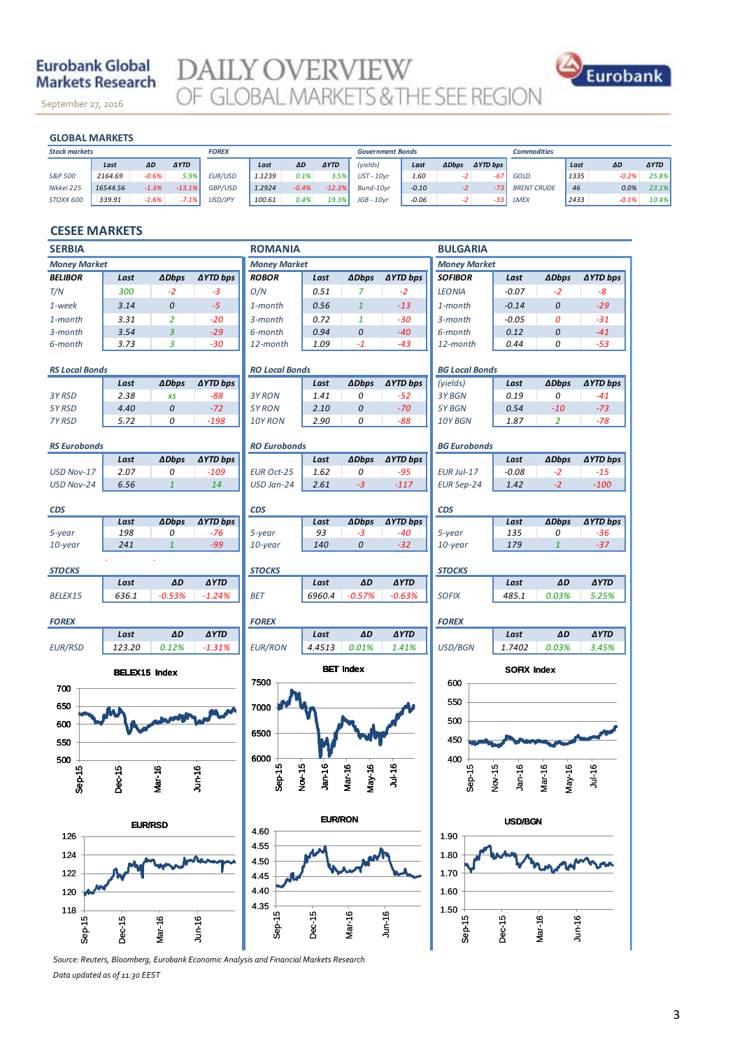## **Eurobank Global Markets Research**

September 27, 2016

**DAILY OVERVIEW**<br>OF GLOBAL MARKETS & THE SEE REGION



November 14, 2013

| <b>GLOBAL MARKETS</b> |          |         |             |              |        |         |             |                         |         |              |                 |                    |      |         |             |
|-----------------------|----------|---------|-------------|--------------|--------|---------|-------------|-------------------------|---------|--------------|-----------------|--------------------|------|---------|-------------|
| <b>Stock markets</b>  |          |         |             | <b>FOREX</b> |        |         |             | <b>Government Bonds</b> |         |              |                 | <b>Commodities</b> |      |         |             |
|                       | Last     | ΔD      | <b>AYTD</b> |              | Last   | ΔD      | <b>AYTD</b> | (yields)                | Last    | <b>ADbps</b> | <b>AYTD bps</b> |                    | Last | ΔD      | <b>AYTD</b> |
| S&P 500               | 2164.69  | $-0.6%$ | 5.9%        | EUR/USD      | 1.1239 | 0.1%    | 3.5%        | $UST - 10vr$            | 1.60    | -2.          | $-67$           | GOLD               | 1335 | $-0.2%$ | 25.8%       |
| Nikkei 225            | 16544.56 | $-1.3%$ | $-13.1%$    | GBP/USD      | 1.2924 | $-0.4%$ | $-12.3%$    | Bund-10vr               | $-0.10$ | -2           | $-73$           | <b>BRENT CRUDE</b> | 46   | 0.0%    | 23.1%       |
| STOXX 600             | 339.91   | $-1.6%$ | $-7.1%$     | USD/JPY      | 100.61 | 0.4%    | 19.3%       | $JGB - 10vr$            | $-0.06$ |              | $-33$           | LMEX               | 2433 | $-0.1%$ | 10.4%       |

### **CESEE MARKETS**

| <b>SERBIA</b>         |                |                  |                 | <b>ROMANIA</b>           |                    |                  |                 | <b>BULGARIA</b>           |                  |                     |                 |  |  |
|-----------------------|----------------|------------------|-----------------|--------------------------|--------------------|------------------|-----------------|---------------------------|------------------|---------------------|-----------------|--|--|
| <b>Money Market</b>   |                |                  |                 | <b>Money Market</b>      |                    |                  |                 | <b>Money Market</b>       |                  |                     |                 |  |  |
| <i><b>BELIBOR</b></i> | Last           | <b>ADbps</b>     | <b>AYTD bps</b> | <b>ROBOR</b>             | Last               | <b>ADbps</b>     | <b>AYTD bps</b> | <b>SOFIBOR</b>            | Last             | <b>ADbps</b>        | ∆YTD bps        |  |  |
| T/N                   | 300            | $-2$             | $-3$            | O/N                      | 0.51               | 7                | $-2$            | <b>LEONIA</b>             | $-0.07$          | $-2$                | -8              |  |  |
| 1-week                | 3.14           | $\cal O$         | $-5$            | $1$ -month               | 0.56               | $\mathbf{1}$     | $-13$           | 1-month                   | $-0.14$          | 0                   | $-29$           |  |  |
| 1-month               | 3.31           | $\overline{2}$   | $-20$           | 3-month                  | 0.72               | $\mathbf{1}$     | $-30$           | 3-month                   | $-0.05$          | 0                   | $-31$           |  |  |
| 3-month               | 3.54           | $\overline{3}$   | $-29$           | 6-month                  | 0.94               | 0                | $-40$           | 6-month                   | 0.12             | 0                   | $-41$           |  |  |
| 6-month               | 3.73           | 3                | $-30$           | 12-month                 | 1.09               | $-1$             | $-43$           | 12-month                  | 0.44             | 0                   | $-53$           |  |  |
| <b>RS Local Bonds</b> |                |                  |                 | <b>RO Local Bonds</b>    |                    |                  |                 | <b>BG Local Bonds</b>     |                  |                     |                 |  |  |
|                       | Last           | <b>ADbps</b>     | ∆YTD bps        |                          | Last               | <b>ADbps</b>     | <b>∆YTD bps</b> | (yields)                  | Last             | <b>ADbps</b>        | <b>AYTD bps</b> |  |  |
| 3Y RSD                | 2.38           | XS               | $-88$           | 3Y RON                   | 1.41               | 0                | $-52$           | 3Y BGN                    | 0.19             | 0                   | $-41$           |  |  |
| 5Y RSD                | 4.40           | $\boldsymbol{0}$ | $-72$           | 5Y RON                   | 2.10               | 0                | $-70$           | 5Y BGN                    | 0.54             | $-10$               | $-73$           |  |  |
| 7Y RSD                | 5.72           | 0                | $-198$          | 10Y RON                  | 2.90               | 0                | -88             | 10Y BGN                   | 1.87             | 2                   | $-78$           |  |  |
| <b>RS Eurobonds</b>   |                |                  |                 | <b>RO Eurobonds</b>      |                    |                  |                 | <b>BG Eurobonds</b>       |                  |                     |                 |  |  |
|                       | Last           | <b>ADbps</b>     | ∆YTD bps        |                          | Last               | <b>ADbps</b>     | <b>∆YTD bps</b> |                           | Last             | <b>ADbps</b>        | <b>AYTD bps</b> |  |  |
| USD Nov-17            | 2.07           | 0                | $-109$          | <b>EUR Oct-25</b>        | 1.62               | 0                | $-95$           | EUR Jul-17                | $-0.08$          | $-2$                | $-15$           |  |  |
| USD Nov-24            | 6.56           | $\mathbf{1}$     | 14              | USD Jan-24               | 2.61               | $-3$             | $-117$          | <b>EUR Sep-24</b>         | 1.42             | $-2$                | $-100$          |  |  |
| CDS                   |                |                  |                 | <b>CDS</b>               |                    |                  |                 | <b>CDS</b>                |                  |                     |                 |  |  |
|                       | Last           | <b>ADbps</b>     | ∆YTD bps        |                          | Last               | <b>ADbps</b>     | <b>AYTD bps</b> |                           | Last             | <b>ADbps</b>        | ∆YTD bps        |  |  |
| 5-year                | 198            | 0                | -76             | 5-year                   | 93                 | -3               | -40             | 5-year                    | 135              | 0                   | -36             |  |  |
| 10-year               | 241            | $\mathbf{1}$     | $-99$           | 10-year                  | 140                | 0                | $-32$           | 10-year                   | 179              | $\mathbf{1}$        | $-37$           |  |  |
| STOCKS                |                |                  |                 | <b>STOCKS</b>            |                    |                  |                 | <b>STOCKS</b>             |                  |                     |                 |  |  |
|                       | Last           | ΔD               | <b>AYTD</b>     |                          | Last               | ΔD               | <b>AYTD</b>     |                           | Last             | ΔD                  | <b>AYTD</b>     |  |  |
| BELEX15               | 636.1          | $-0.53%$         | $-1.24%$        | BET                      | 6960.4             | $-0.57%$         | $-0.63%$        | <b>SOFIX</b>              | 485.1            | 0.03%               | 5.25%           |  |  |
| <b>FOREX</b>          |                |                  |                 | <b>FOREX</b>             |                    |                  |                 | <b>FOREX</b>              |                  |                     |                 |  |  |
|                       | Last           | ΔD               | <b>AYTD</b>     |                          | Last               | ΔD               | <b>AYTD</b>     |                           | Last             | ΔD                  | <b>AYTD</b>     |  |  |
| <i>EUR/RSD</i>        | 123.20         | 0.12%            | $-1.31%$        | <b>EUR/RON</b>           | 4.4513             | 0.01%            | 1.41%           | USD/BGN                   | 1.7402           | 0.03%               | 3.45%           |  |  |
| <b>BELEX15 Index</b>  |                |                  |                 | <b>BET Index</b><br>7500 |                    |                  |                 | <b>SOFIX Index</b><br>600 |                  |                     |                 |  |  |
| 700                   |                |                  |                 |                          |                    |                  |                 |                           |                  |                     |                 |  |  |
| 650                   |                |                  |                 | 7000                     |                    |                  |                 | 550                       |                  |                     |                 |  |  |
| 600                   |                |                  |                 |                          |                    |                  |                 | 500                       |                  |                     |                 |  |  |
| 550                   |                |                  |                 | 6500                     |                    |                  |                 | 450                       |                  |                     |                 |  |  |
| 500                   |                |                  |                 | 6000                     |                    |                  |                 | 400                       |                  |                     |                 |  |  |
|                       |                |                  |                 |                          |                    |                  | <b>Jul-16</b>   |                           |                  |                     | <b>Jul-16</b>   |  |  |
| Sep-15                | Dec-15         | Mar-16           | $J$ un-16       | $Sep-15$                 | $Jan-16$<br>Nov-15 | Mar-16<br>May-16 |                 | $Sep-15$                  | Nov-15<br>Jan-16 | Mar-16<br>$May-16$  |                 |  |  |
|                       |                |                  |                 |                          |                    |                  |                 |                           |                  |                     |                 |  |  |
|                       | <b>EUR/RSD</b> |                  |                 | <b>EUR/RON</b>           |                    |                  |                 | <b>USD/BGN</b>            |                  |                     |                 |  |  |
| 126                   |                |                  |                 |                          | 4.60               |                  |                 |                           | 1.90             |                     |                 |  |  |
| 124                   |                |                  |                 | 4.55                     |                    |                  |                 | 1.80                      |                  |                     |                 |  |  |
|                       |                |                  |                 | 4.50                     |                    |                  |                 |                           |                  |                     |                 |  |  |
| 122                   |                |                  |                 | 4.45                     |                    |                  |                 | 1.70                      |                  |                     |                 |  |  |
| 120                   |                |                  |                 | 4.40                     |                    |                  |                 | 1.60                      |                  |                     |                 |  |  |
| 118                   |                |                  |                 | 4.35                     |                    |                  |                 | 1.50                      |                  |                     |                 |  |  |
|                       |                |                  |                 | $Sep-15$                 | Dec-15             | Mar-16           | $J$ un-16       | $Sep-15$                  |                  |                     |                 |  |  |
| Sep-15                | Dec-15         | Mar-16           | $J$ un-16       |                          |                    |                  |                 |                           | Dec-15           | Mar-16<br>$J$ un-16 |                 |  |  |
|                       |                |                  |                 |                          |                    |                  |                 |                           |                  |                     |                 |  |  |

*Source: Reuters, Bloomberg, Eurobank Economic Analysis and Financial Markets Research Data updated as of 11:30 EEST*